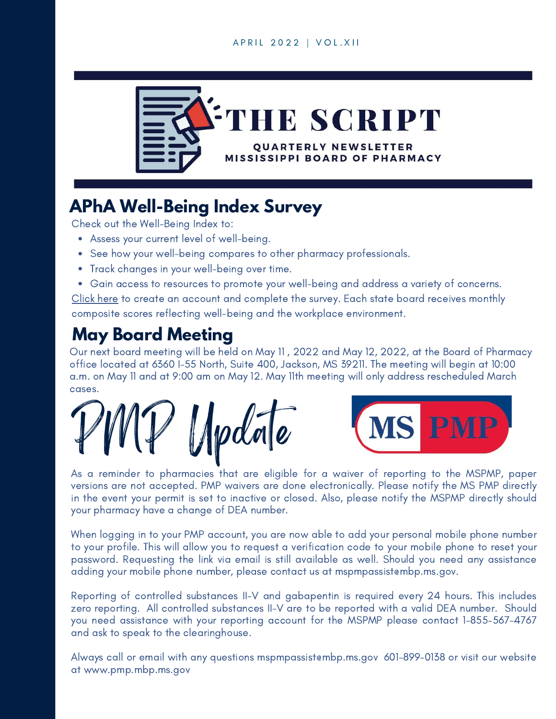#### A P R I L 2 0 2 2 | V O L . X I I



## **APhA Well-Being Index Survey**

Check out the Well-Being Index to:

- Assess your current level of well-being.
- See how your well-being compares to other pharmacy professionals.
- Track changes in your well-being over time.
- Gain access to resources to promote your well-being and address a variety of concerns.

[Click](https://www.pharmacist.com/Advocacy/Well-Being-and-Resiliency/pwwr) here to create an account and complete the survey. Each state board receives monthly composite scores reflecting well-being and the workplace environment.

#### **May Board Meeting**

Our next board meeting will be held on May 11 , 2022 and May 12, 2022, at the Board of Pharmacy office located at 6360 I-55 North, Suite 400, Jackson, MS 39211. The meeting will begin at 10:00 a.m. on May 11 and at 9:00 am on May 12. May 11th meeting will only address rescheduled March cases.

 $Unplane$ 



As a reminder to pharmacies that are eligible for a waiver of reporting to the MSPMP, paper versions are not accepted. PMP waivers are done electronically. Please notify the MS PMP directly in the event your permit is set to inactive or closed. Also, please notify the MSPMP directly should your pharmacy have a change of DEA number.

When logging in to your PMP account, you are now able to add your personal mobile phone number to your profile. This will allow you to request a verification code to your mobile phone to reset your password. Requesting the link via email is still available as well. Should you need any assistance adding your mobile phone number, please contact us at [mspmpassist@mbp.ms.gov](mailto:mspmpassist@mbp.ms.gov).

Reporting of controlled substances II-V and gabapentin is required every 24 hours. This includes zero reporting. All controlled substances II-V are to be reported with a valid DEA number. Should you need assistance with your reporting account for the MSPMP please contact 1-855-567-4767 and ask to speak to the clearinghouse.

Always call or email with any questions [mspmpassist@mbp.ms.gov](mailto:mspmpassist@mbp.ms.gov) 601-899-0138 or visit our website at [www.pmp.mbp.ms.gov](http://www.pmp.mbp.ms.gov/)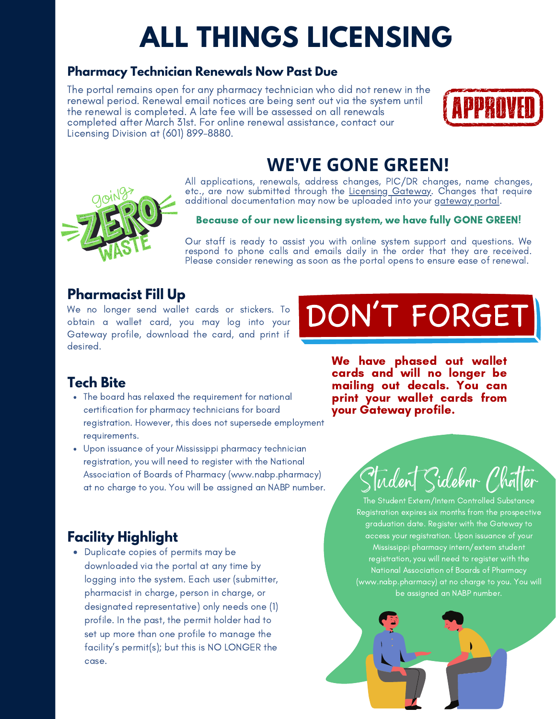# **ALL THINGS LICENSING**

#### **Pharmacy Technician Renewals Now Past Due**

The portal remains open for any pharmacy technician who did not renew in the renewal period. Renewal email notices are being sent out via the system until the renewal is completed. A late fee will be assessed on all renewals completed after March 31st. For online renewal assistance, contact our Licensing Division at (601) 899-8880.



### **WE'VE GONE GREEN!**

All applications, renewals, address changes, PIC/DR changes, name changes, etc., are now submitted through the <u>Licensing [Gateway](https://gateway.mbp.ms.gov/)</u>. Changes that require additional documentation may now be uploaded into your <u>[gateway](https://gateway.mbp.ms.gov/) portal</u>.

#### Because of our new licensing system, we have fully GONE GREEN!

Our staff is ready to assist you with online system support and questions. We respond to phone calls and emails daily in the order that they are received. Please consider renewing as soon as the portal opens to ensure ease of renewal.

#### **Pharmacist Fill Up**

We no longer send wallet cards or stickers. To obtain a wallet card, you may log into your Gateway profile, download the card, and print if desired.

# DON'T FORGET

#### **Tech Bite**

- The board has relaxed the requirement for national certification for pharmacy technicians for board registration. However, this does not supersede employment requirements.
- Upon issuance of your Mississippi pharmacy technician registration, you will need to register with the National Association of Boards of Pharmacy ([www.nabp.pharmacy](http://www.nabp.pharmacy/)) at no charge to you. You will be assigned an NABP number.

We have phased out wallet cards and will no longer be mailing out decals. You can print your wallet cards from your Gateway profile.

#### **Facility Highlight**

Duplicate copies of permits may be downloaded via the portal at any time by logging into the system. Each user (submitter, pharmacist in charge, person in charge, or designated representative) only needs one (1) profile. In the past, the permit holder had to set up more than one profile to manage the facility's permit(s); but this is NO LONGER the case.

# Student Sidebar Chatter

The Student Extern/Intern Controlled Substance Registration expires six months from the prospective graduation date. Register with the Gateway to access your registration. Upon issuance of your Mississippi pharmacy intern/extern student registration, you will need to register with the National Association of Boards of Pharmacy ([www.nabp.pharmacy](http://www.nabp.pharmacy/)) at no charge to you. You will be assigned an NABP number.



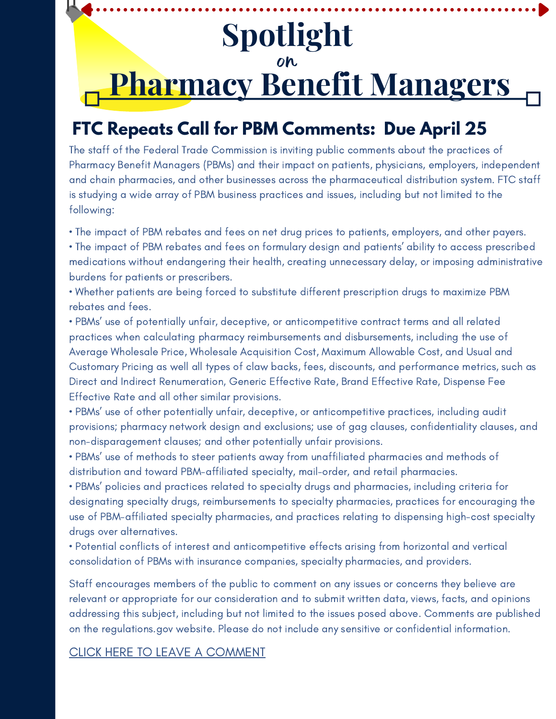# **Spotlight** on **Pharmacy Benefit Managers**

## **FTC Repeats Call for PBM Comments: Due April 25**

The staff of the Federal Trade Commission is inviting public comments about the practices of Pharmacy Benefit Managers (PBMs) and their impact on patients, physicians, employers, independent and chain pharmacies, and other businesses across the pharmaceutical distribution system. FTC staff is studying a wide array of PBM business practices and issues, including but not limited to the following:

• The impact of PBM rebates and fees on net drug prices to patients, employers, and other payers.

• The impact of PBM rebates and fees on formulary design and patients' ability to access prescribed medications without endangering their health, creating unnecessary delay, or imposing administrative burdens for patients or prescribers.

• Whether patients are being forced to substitute different prescription drugs to maximize PBM rebates and fees.

• PBMs' use of potentially unfair, deceptive, or anticompetitive contract terms and all related practices when calculating pharmacy reimbursements and disbursements, including the use of Average Wholesale Price, Wholesale Acquisition Cost, Maximum Allowable Cost, and Usual and Customary Pricing as well all types of claw backs, fees, discounts, and performance metrics, such as Direct and Indirect Renumeration, Generic Effective Rate, Brand Effective Rate, Dispense Fee Effective Rate and all other similar provisions.

• PBMs' use of other potentially unfair, deceptive, or anticompetitive practices, including audit provisions; pharmacy network design and exclusions; use of gag clauses, confidentiality clauses, and non-disparagement clauses; and other potentially unfair provisions.

• PBMs' use of methods to steer patients away from unaffiliated pharmacies and methods of distribution and toward PBM-affiliated specialty, mail-order, and retail pharmacies.

• PBMs' policies and practices related to specialty drugs and pharmacies, including criteria for designating specialty drugs, reimbursements to specialty pharmacies, practices for encouraging the use of PBM-affiliated specialty pharmacies, and practices relating to dispensing high-cost specialty drugs over alternatives.

• Potential conflicts of interest and anticompetitive effects arising from horizontal and vertical consolidation of PBMs with insurance companies, specialty pharmacies, and providers.

Staff encourages members of the public to comment on any issues or concerns they believe are relevant or appropriate for our consideration and to submit written data, views, facts, and opinions addressing this subject, including but not limited to the issues posed above. Comments are published on the regulations.gov website. Please do not include any sensitive or confidential information.

#### CLICK HERE TO LEAVE A [COMMENT](https://www.regulations.gov/commenton/FTC-2022-0015-0001)